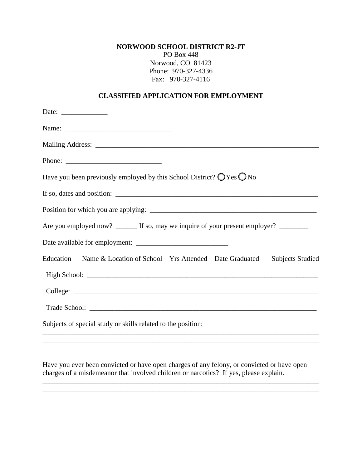**NORWOOD SCHOOL DISTRICT R2-JT** 

PO Box 448 Norwood, CO 81423 Phone: 970-327-4336 Fax: 970-327-4116

## **CLASSIFIED APPLICATION FOR EMPLOYMENT**

| Date: $\frac{ }{ }$                                                                           |
|-----------------------------------------------------------------------------------------------|
|                                                                                               |
|                                                                                               |
|                                                                                               |
| Have you been previously employed by this School District? $\bigcirc$ Yes $\bigcirc$ No       |
|                                                                                               |
|                                                                                               |
| Are you employed now? _______ If so, may we inquire of your present employer? _________       |
|                                                                                               |
| Education<br>Name & Location of School Yrs Attended Date Graduated<br><b>Subjects Studied</b> |
|                                                                                               |
|                                                                                               |
|                                                                                               |
| Subjects of special study or skills related to the position:                                  |
|                                                                                               |
|                                                                                               |

Have you ever been convicted or have open charges of any felony, or convicted or have open charges of a misdemeanor that involved children or narcotics? If yes, please explain.

 $\overline{\phantom{a}}$  , and the set of the set of the set of the set of the set of the set of the set of the set of the set of the set of the set of the set of the set of the set of the set of the set of the set of the set of the s \_\_\_\_\_\_\_\_\_\_\_\_\_\_\_\_\_\_\_\_\_\_\_\_\_\_\_\_\_\_\_\_\_\_\_\_\_\_\_\_\_\_\_\_\_\_\_\_\_\_\_\_\_\_\_\_\_\_\_\_\_\_\_\_\_\_\_\_\_\_\_\_\_\_\_\_\_\_